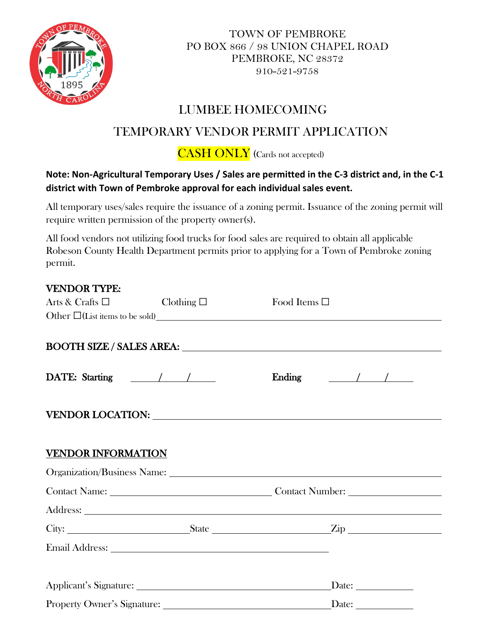

TOWN OF PEMBROKE PO BOX 866 / 98 UNION CHAPEL ROAD PEMBROKE, NC 28372 910-521-9758

### LUMBEE HOMECOMING

## TEMPORARY VENDOR PERMIT APPLICATION

CASH ONLY (Cards not accepted)

#### **Note: Non-Agricultural Temporary Uses / Sales are permitted in the C-3 district and, in the C-1 district with Town of Pembroke approval for each individual sales event.**

All temporary uses/sales require the issuance of a zoning permit. Issuance of the zoning permit will require written permission of the property owner(s).

All food vendors not utilizing food trucks for food sales are required to obtain all applicable Robeson County Health Department permits prior to applying for a Town of Pembroke zoning permit.

| <b>VENDOR TYPE:</b>                        |  |                                                                                                                                                                                                                                |  |
|--------------------------------------------|--|--------------------------------------------------------------------------------------------------------------------------------------------------------------------------------------------------------------------------------|--|
| Arts & Crafts $\square$ Clothing $\square$ |  | Food Items $\square$                                                                                                                                                                                                           |  |
|                                            |  | Other $\Box$ (List items to be sold)                                                                                                                                                                                           |  |
|                                            |  | BOOTH SIZE / SALES AREA: University of the SIZE / SALES AREA:                                                                                                                                                                  |  |
|                                            |  | Ending $\frac{1}{\sqrt{1-\frac{1}{2}}}$                                                                                                                                                                                        |  |
|                                            |  | VENDOR LOCATION: University of the contract of the contract of the contract of the contract of the contract of the contract of the contract of the contract of the contract of the contract of the contract of the contract of |  |
| <b>VENDOR INFORMATION</b>                  |  |                                                                                                                                                                                                                                |  |
|                                            |  |                                                                                                                                                                                                                                |  |
| Contact Name: Contact Number:              |  |                                                                                                                                                                                                                                |  |
|                                            |  |                                                                                                                                                                                                                                |  |
|                                            |  |                                                                                                                                                                                                                                |  |
|                                            |  |                                                                                                                                                                                                                                |  |
|                                            |  |                                                                                                                                                                                                                                |  |
|                                            |  |                                                                                                                                                                                                                                |  |